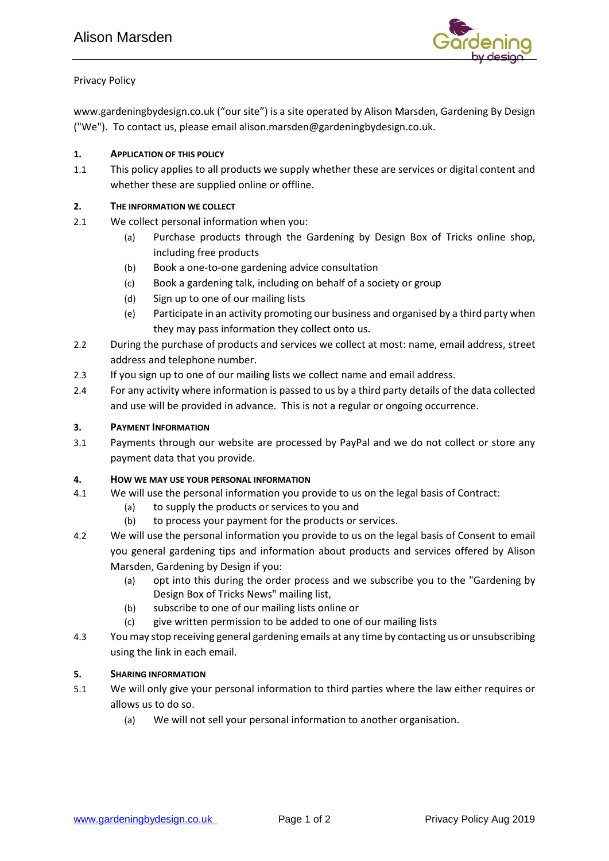

# Privacy Policy

www.gardeningbydesign.co.uk ("our site") is a site operated by Alison Marsden, Gardening By Design ("We"). To contact us, please email alison.marsden@gardeningbydesign.co.uk.

## **1. APPLICATION OF THIS POLICY**

1.1 This policy applies to all products we supply whether these are services or digital content and whether these are supplied online or offline.

#### **2. THE INFORMATION WE COLLECT**

- 2.1 We collect personal information when you:
	- (a) Purchase products through the Gardening by Design Box of Tricks online shop, including free products
	- (b) Book a one-to-one gardening advice consultation
	- (c) Book a gardening talk, including on behalf of a society or group
	- (d) Sign up to one of our mailing lists
	- (e) Participate in an activity promoting our business and organised by a third party when they may pass information they collect onto us.
- 2.2 During the purchase of products and services we collect at most: name, email address, street address and telephone number.
- 2.3 If you sign up to one of our mailing lists we collect name and email address.
- 2.4 For any activity where information is passed to us by a third party details of the data collected and use will be provided in advance. This is not a regular or ongoing occurrence.

#### **3. PAYMENT INFORMATION**

3.1 Payments through our website are processed by PayPal and we do not collect or store any payment data that you provide.

## **4. HOW WE MAY USE YOUR PERSONAL INFORMATION**

- 4.1 We will use the personal information you provide to us on the legal basis of Contract:
	- (a) to supply the products or services to you and
	- (b) to process your payment for the products or services.
- 4.2 We will use the personal information you provide to us on the legal basis of Consent to email you general gardening tips and information about products and services offered by Alison Marsden, Gardening by Design if you:
	- (a) opt into this during the order process and we subscribe you to the "Gardening by Design Box of Tricks News" mailing list,
	- (b) subscribe to one of our mailing lists online or
	- (c) give written permission to be added to one of our mailing lists
- 4.3 You may stop receiving general gardening emails at any time by contacting us or unsubscribing using the link in each email.

## **5. SHARING INFORMATION**

- 5.1 We will only give your personal information to third parties where the law either requires or allows us to do so.
	- (a) We will not sell your personal information to another organisation.